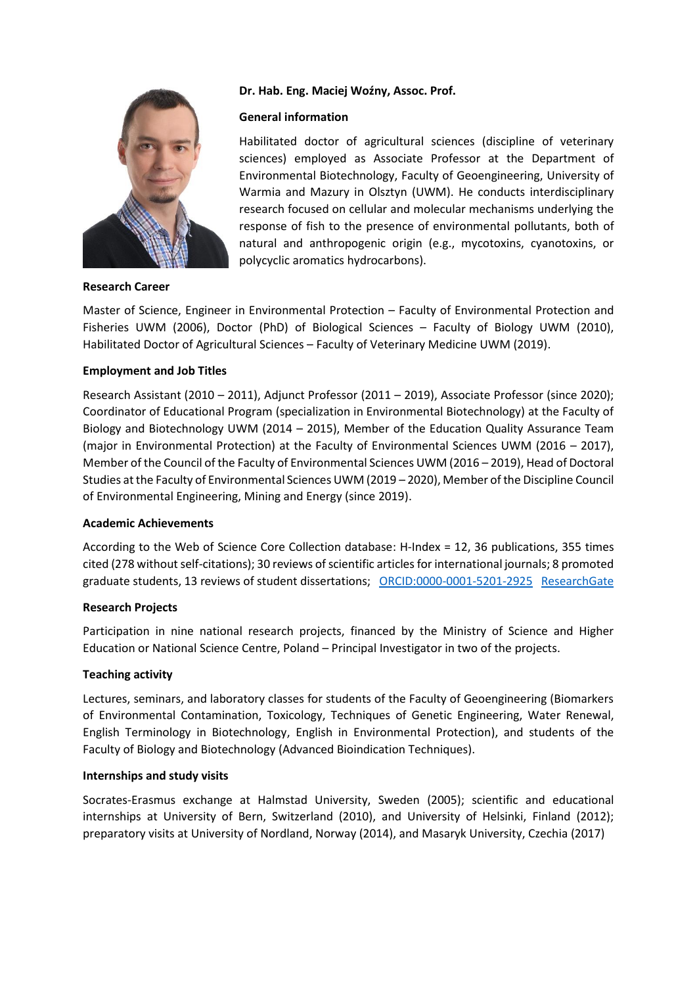

**Research Career**

# **Dr. Hab. Eng. Maciej Woźny, Assoc. Prof.**

#### **General information**

Habilitated doctor of agricultural sciences (discipline of veterinary sciences) employed as Associate Professor at the Department of Environmental Biotechnology, Faculty of Geoengineering, University of Warmia and Mazury in Olsztyn (UWM). He conducts interdisciplinary research focused on cellular and molecular mechanisms underlying the response of fish to the presence of environmental pollutants, both of natural and anthropogenic origin (e.g., mycotoxins, cyanotoxins, or polycyclic aromatics hydrocarbons).

Master of Science, Engineer in Environmental Protection – Faculty of Environmental Protection and Fisheries UWM (2006), Doctor (PhD) of Biological Sciences – Faculty of Biology UWM (2010), Habilitated Doctor of Agricultural Sciences – Faculty of Veterinary Medicine UWM (2019).

# **Employment and Job Titles**

Research Assistant (2010 – 2011), Adjunct Professor (2011 – 2019), Associate Professor (since 2020); Coordinator of Educational Program (specialization in Environmental Biotechnology) at the Faculty of Biology and Biotechnology UWM (2014 – 2015), Member of the Education Quality Assurance Team (major in Environmental Protection) at the Faculty of Environmental Sciences UWM (2016 – 2017), Member of the Council of the Faculty of Environmental Sciences UWM (2016 – 2019), Head of Doctoral Studies at the Faculty of Environmental Sciences UWM (2019 – 2020), Member of the Discipline Council of Environmental Engineering, Mining and Energy (since 2019).

# **Academic Achievements**

According to the Web of Science Core Collection database: H-Index = 12, 36 publications, 355 times cited (278 without self-citations); 30 reviews of scientific articles for international journals; 8 promoted graduate students, 13 reviews of student dissertations; [ORCID:0000-0001-5201-2925](https://orcid.org/0000-0001-5201-2925) [ResearchGate](https://www.researchgate.net/profile/Maciej-Wozny-2)

# **Research Projects**

Participation in nine national research projects, financed by the Ministry of Science and Higher Education or National Science Centre, Poland – Principal Investigator in two of the projects.

# **Teaching activity**

Lectures, seminars, and laboratory classes for students of the Faculty of Geoengineering (Biomarkers of Environmental Contamination, Toxicology, Techniques of Genetic Engineering, Water Renewal, English Terminology in Biotechnology, English in Environmental Protection), and students of the Faculty of Biology and Biotechnology (Advanced Bioindication Techniques).

# **Internships and study visits**

Socrates-Erasmus exchange at Halmstad University, Sweden (2005); scientific and educational internships at University of Bern, Switzerland (2010), and University of Helsinki, Finland (2012); preparatory visits at University of Nordland, Norway (2014), and Masaryk University, Czechia (2017)